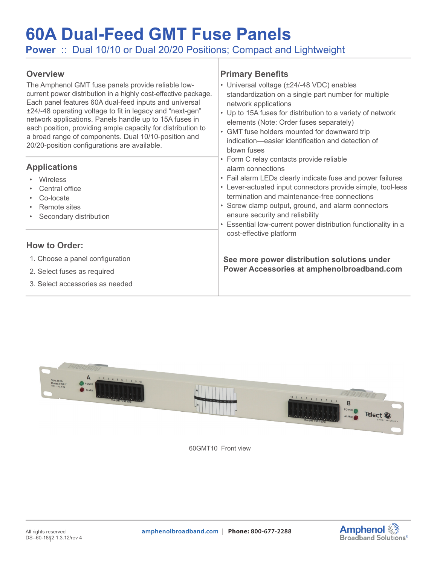# **60A Dual-Feed GMT Fuse Panels**

**Power** :: Dual 10/10 or Dual 20/20 Positions; Compact and Lightweight

#### **Overview**

The Amphenol GMT fuse panels provide reliable lowcurrent power distribution in a highly cost-effective package. Each panel features 60A dual-feed inputs and universal ±24/-48 operating voltage to fit in legacy and "next-gen" network applications. Panels handle up to 15A fuses in each position, providing ample capacity for distribution to a broad range of components. Dual 10/10-position and 20/20-position configurations are available.

#### **Applications**

- Wireless
- Central office
- Co-locate
- Remote sites
- Secondary distribution

#### **How to Order:**

- 1. Choose a panel configuration
- 2. Select fuses as required
- 3. Select accessories as needed

#### **Primary Benefits**

- Universal voltage (±24/-48 VDC) enables standardization on a single part number for multiple network applications • Up to 15A fuses for distribution to a variety of network elements (Note: Order fuses separately) • GMT fuse holders mounted for downward trip indication—easier identification and detection of blown fuses
	- Form C relay contacts provide reliable alarm connections
		- Fail alarm LEDs clearly indicate fuse and power failures
	- Lever-actuated input connectors provide simple, tool-less termination and maintenance-free connections
		- Screw clamp output, ground, and alarm connectors ensure security and reliability
	- Essential low-current power distribution functionality in a cost-effective platform

**See more power distribution solutions under Power Accessories at [amphenolbroadband.com](https://www.amphenolbroadband.com/product-category/dc-distribution-panels/)**



60GMT10 Front view